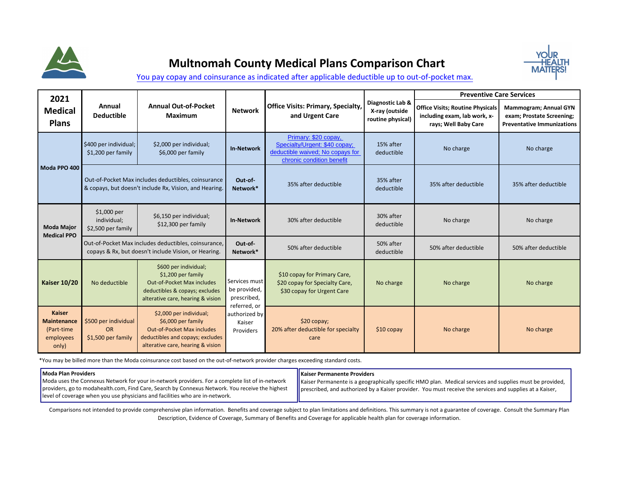

## **Multnomah County Medical Plans Comparison Chart**



[You pay copay and coinsurance as indicated after applicable deductible](https://multco.us/benefits/health-plan-rates-and-comparisons) up to out-of-pocket max.

| 2021                                                                    |                                                         |                                                                                                                                                             |                                                      |                                                                                                                        |                                                         | <b>Preventive Care Services</b>                                                                 |                                                                                                |  |  |
|-------------------------------------------------------------------------|---------------------------------------------------------|-------------------------------------------------------------------------------------------------------------------------------------------------------------|------------------------------------------------------|------------------------------------------------------------------------------------------------------------------------|---------------------------------------------------------|-------------------------------------------------------------------------------------------------|------------------------------------------------------------------------------------------------|--|--|
| <b>Medical</b><br><b>Plans</b>                                          | Annual<br><b>Deductible</b>                             | <b>Annual Out-of-Pocket</b><br>Maximum                                                                                                                      | <b>Network</b>                                       | <b>Office Visits: Primary, Specialty,</b><br>and Urgent Care                                                           | Diagnostic Lab &<br>X-ray (outside<br>routine physical) | <b>Office Visits; Routine Physicals</b><br>including exam, lab work, x-<br>rays; Well Baby Care | <b>Mammogram; Annual GYN</b><br>exam; Prostate Screening;<br><b>Preventative Immunizations</b> |  |  |
| Moda PPO 400                                                            | \$400 per individual;<br>\$1,200 per family             | \$2,000 per individual;<br>\$6,000 per family                                                                                                               | <b>In-Network</b>                                    | Primary: \$20 copay,<br>Specialty/Urgent: \$40 copay;<br>deductible waived; No copays for<br>chronic condition benefit | 15% after<br>deductible                                 | No charge                                                                                       | No charge                                                                                      |  |  |
|                                                                         |                                                         | Out-of-Pocket Max includes deductibles, coinsurance<br>& copays, but doesn't include Rx, Vision, and Hearing.                                               | Out-of-<br>Network*                                  | 35% after deductible                                                                                                   | 35% after<br>deductible                                 | 35% after deductible<br>35% after deductible                                                    |                                                                                                |  |  |
| <b>Moda Major</b><br><b>Medical PPO</b>                                 | \$1,000 per<br>individual;<br>\$2,500 per family        | \$6,150 per individual;<br>$$12,300$ per family                                                                                                             | <b>In-Network</b>                                    | 30% after deductible                                                                                                   | 30% after<br>deductible                                 | No charge                                                                                       | No charge                                                                                      |  |  |
|                                                                         |                                                         | Out-of-Pocket Max includes deductibles, coinsurance,<br>copays & Rx, but doesn't include Vision, or Hearing.                                                | Out-of-<br>Network*                                  | 50% after deductible                                                                                                   | 50% after<br>deductible                                 | 50% after deductible                                                                            | 50% after deductible                                                                           |  |  |
| <b>Kaiser 10/20</b>                                                     | No deductible                                           | \$600 per individual;<br>\$1,200 per family<br>Out-of-Pocket Max includes<br>deductibles & copays; excludes<br>alterative care, hearing & vision            | Services must<br>be provided,<br>prescribed,         | \$10 copay for Primary Care,<br>\$20 copay for Specialty Care,<br>\$30 copay for Urgent Care                           | No charge                                               | No charge                                                                                       | No charge                                                                                      |  |  |
| <b>Kaiser</b><br><b>Maintenance</b><br>(Part-time<br>employees<br>only) | \$500 per individual<br><b>OR</b><br>\$1,500 per family | \$2,000 per individual;<br>\$6,000 per family<br><b>Out-of-Pocket Max includes</b><br>deductibles and copays; excludes<br>alterative care, hearing & vision | referred, or<br>authorized by<br>Kaiser<br>Providers | $$20$ copay;<br>20% after deductible for specialty<br>care                                                             | $$10$ copay                                             | No charge                                                                                       | No charge                                                                                      |  |  |

\*You may be billed more than the Moda coinsurance cost based on the out-of-network provider charges exceeding standard costs.

## **Moda Plan Providers**

**Kaiser Permanente Providers** 

Moda uses the Connexus Network for your in-network providers. For a complete list of in-network providers, go to modahealth.com, Find Care, Search by Connexus Network. You receive the highest level of coverage when you use physicians and facilities who are in-network.

Kaiser Permanente is a geographically specific HMO plan. Medical services and supplies must be provided, prescribed, and authorized by a Kaiser provider. You must receive the services and supplies at a Kaiser,

Comparisons not intended to provide comprehensive plan information. Benefits and coverage subject to plan limitations and definitions. This summary is not a guarantee of coverage. Consult the Summary Plan Description, Evidence of Coverage, Summary of Benefits and Coverage for applicable health plan for coverage information.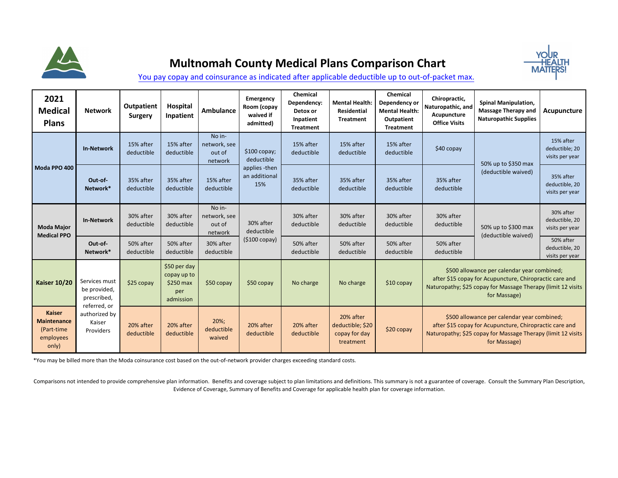

## **Multnomah County Medical Plans Comparison Chart**



[You pay copay and coinsurance as indicated after applicable deductible](https://multco.us/benefits/health-plan-rates-and-comparisons) up to out-of-packet max.

| 2021<br><b>Medical</b><br><b>Plans</b>                                  | <b>Network</b>                                       | <b>Outpatient</b><br>Surgery | Hospital<br>Inpatient                                        | Ambulance                                   | Emergency<br>Room (copay<br>waived if<br>admitted) | Chemical<br>Dependency:<br>Detox or<br>Inpatient<br><b>Treatment</b> | <b>Mental Health:</b><br><b>Residential</b><br><b>Treatment</b> | Chemical<br>Dependency or<br><b>Mental Health:</b><br>Outpatient<br><b>Treatment</b> | Chiropractic,<br>Naturopathic, and<br>Acupuncture<br><b>Office Visits</b>                                                                                                              | <b>Spinal Manipulation,</b><br><b>Massage Therapy and</b><br><b>Naturopathic Supplies</b> | Acupuncture                                    |  |
|-------------------------------------------------------------------------|------------------------------------------------------|------------------------------|--------------------------------------------------------------|---------------------------------------------|----------------------------------------------------|----------------------------------------------------------------------|-----------------------------------------------------------------|--------------------------------------------------------------------------------------|----------------------------------------------------------------------------------------------------------------------------------------------------------------------------------------|-------------------------------------------------------------------------------------------|------------------------------------------------|--|
| Moda PPO 400                                                            | <b>In-Network</b>                                    | 15% after<br>deductible      | 15% after<br>deductible                                      | No in-<br>network, see<br>out of<br>network | \$100 copay;<br>deductible                         | 15% after<br>deductible                                              | 15% after<br>deductible                                         | 15% after<br>deductible                                                              | $$40$ copay                                                                                                                                                                            | 50% up to \$350 max                                                                       | 15% after<br>deductible; 20<br>visits per year |  |
|                                                                         | Out-of-<br>Network*                                  | 35% after<br>deductible      | 35% after<br>deductible                                      | 15% after<br>deductible                     | applies -then<br>an additional<br>15%              | 35% after<br>deductible                                              | 35% after<br>deductible                                         | 35% after<br>deductible                                                              | 35% after<br>deductible                                                                                                                                                                | (deductible waived)                                                                       | 35% after<br>deductible, 20<br>visits per year |  |
| <b>Moda Major</b><br><b>Medical PPO</b>                                 | <b>In-Network</b>                                    | 30% after<br>deductible      | 30% after<br>deductible                                      | No in-<br>network, see<br>out of<br>network | 30% after<br>deductible                            | 30% after<br>deductible                                              | 30% after<br>deductible                                         | 30% after<br>deductible                                                              | 30% after<br>deductible                                                                                                                                                                | 50% up to \$300 max<br>(deductible waived)                                                | 30% after<br>deductible, 20<br>visits per year |  |
|                                                                         | Out-of-<br>Network*                                  | 50% after<br>deductible      | 50% after<br>deductible                                      | 30% after<br>deductible                     | $(5100 \text{ copay})$                             | 50% after<br>deductible                                              | 50% after<br>deductible                                         | 50% after<br>deductible                                                              | 50% after<br>deductible                                                                                                                                                                |                                                                                           | 50% after<br>deductible, 20<br>visits per year |  |
| <b>Kaiser 10/20</b>                                                     | Services must<br>be provided,<br>prescribed,         | \$25 copay                   | \$50 per day<br>copay up to<br>\$250 max<br>per<br>admission | \$50 copay                                  | \$50 copay                                         | No charge                                                            | No charge                                                       | \$10 copay                                                                           | \$500 allowance per calendar year combined;<br>after \$15 copay for Acupuncture, Chiropractic care and<br>Naturopathy; \$25 copay for Massage Therapy (limit 12 visits<br>for Massage) |                                                                                           |                                                |  |
| <b>Kaiser</b><br><b>Maintenance</b><br>(Part-time<br>employees<br>only) | referred, or<br>authorized by<br>Kaiser<br>Providers | 20% after<br>deductible      | 20% after<br>deductible                                      | $20\%$ ;<br>deductible<br>waived            | 20% after<br>deductible                            | 20% after<br>deductible                                              | 20% after<br>deductible; \$20<br>copay for day<br>treatment     | \$20 copay                                                                           | \$500 allowance per calendar year combined;<br>after \$15 copay for Acupuncture, Chiropractic care and<br>Naturopathy; \$25 copay for Massage Therapy (limit 12 visits<br>for Massage) |                                                                                           |                                                |  |

\*You may be billed more than the Moda coinsurance cost based on the out-of-network provider charges exceeding standard costs.

Comparisons not intended to provide comprehensive plan information. Benefits and coverage subject to plan limitations and definitions. This summary is not a guarantee of coverage. Consult the Summary Plan Description, Evidence of Coverage, Summary of Benefits and Coverage for applicable health plan for coverage information.